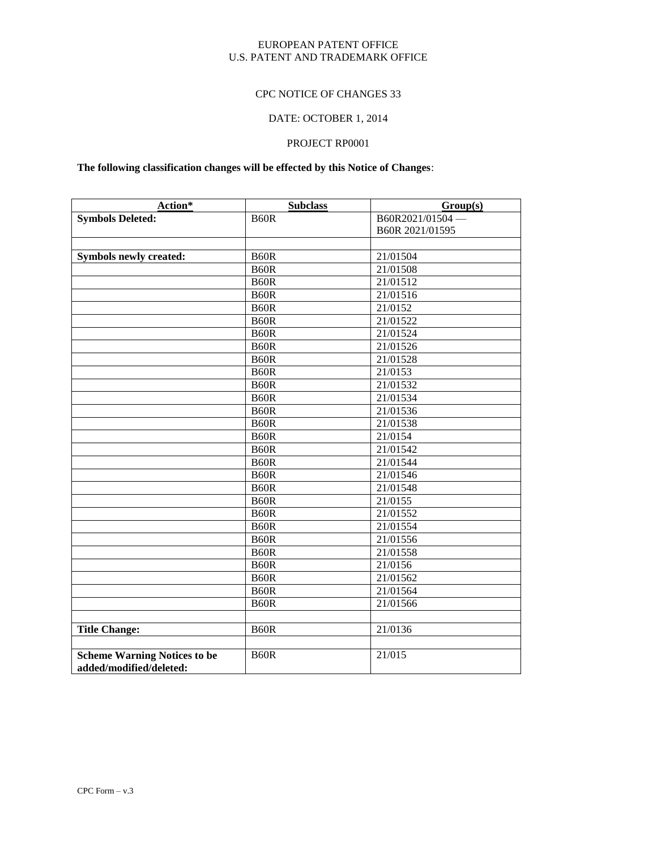#### EUROPEAN PATENT OFFICE U.S. PATENT AND TRADEMARK OFFICE

#### CPC NOTICE OF CHANGES 33

## DATE: OCTOBER 1, 2014

#### PROJECT RP0001

#### **The following classification changes will be effected by this Notice of Changes**:

| Action*                             | <b>Subclass</b>   | Group(s)              |
|-------------------------------------|-------------------|-----------------------|
| <b>Symbols Deleted:</b>             | <b>B60R</b>       | B60R2021/01504-       |
|                                     |                   | B60R 2021/01595       |
|                                     |                   |                       |
| <b>Symbols newly created:</b>       | <b>B60R</b>       | 21/01504              |
|                                     | <b>B60R</b>       | 21/01508              |
|                                     | <b>B60R</b>       | $\overline{21}/01512$ |
|                                     | <b>B60R</b>       | 21/01516              |
|                                     | B <sub>60</sub> R | 21/0152               |
|                                     | <b>B60R</b>       | 21/01522              |
|                                     | B <sub>60</sub> R | 21/01524              |
|                                     | B <sub>60</sub> R | 21/01526              |
|                                     | <b>B60R</b>       | 21/01528              |
|                                     | <b>B60R</b>       | 21/0153               |
|                                     | B <sub>60</sub> R | 21/01532              |
|                                     | B <sub>60</sub> R | 21/01534              |
|                                     | B <sub>60</sub> R | 21/01536              |
|                                     | <b>B60R</b>       | 21/01538              |
|                                     | <b>B60R</b>       | 21/0154               |
|                                     | <b>B60R</b>       | 21/01542              |
|                                     | <b>B60R</b>       | 21/01544              |
|                                     | <b>B60R</b>       | 21/01546              |
|                                     | <b>B60R</b>       | 21/01548              |
|                                     | <b>B60R</b>       | 21/0155               |
|                                     | B <sub>60</sub> R | 21/01552              |
|                                     | B <sub>60</sub> R | 21/01554              |
|                                     | B <sub>60</sub> R | 21/01556              |
|                                     | B <sub>60</sub> R | 21/01558              |
|                                     | B <sub>60</sub> R | 21/0156               |
|                                     | B <sub>60</sub> R | 21/01562              |
|                                     | B <sub>60</sub> R | 21/01564              |
|                                     | B <sub>60</sub> R | 21/01566              |
|                                     |                   |                       |
| <b>Title Change:</b>                | B <sub>60</sub> R | 21/0136               |
|                                     |                   |                       |
| <b>Scheme Warning Notices to be</b> | <b>B60R</b>       | 21/015                |
| added/modified/deleted:             |                   |                       |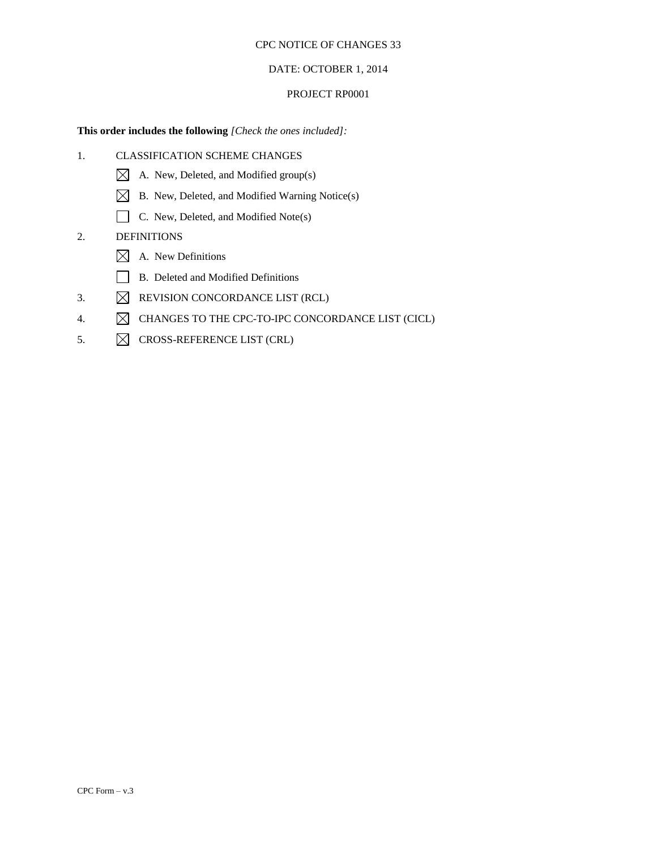#### DATE: OCTOBER 1, 2014

#### PROJECT RP0001

#### **This order includes the following** *[Check the ones included]:*

- 1. CLASSIFICATION SCHEME CHANGES
	- $\boxtimes$  A. New, Deleted, and Modified group(s)
	- $\boxtimes$  B. New, Deleted, and Modified Warning Notice(s)
	- C. New, Deleted, and Modified Note(s)

## 2. DEFINITIONS

- $\boxtimes$  A. New Definitions
- B. Deleted and Modified Definitions
- 3.  $\boxtimes$  REVISION CONCORDANCE LIST (RCL)
- 4.  $\boxtimes$  CHANGES TO THE CPC-TO-IPC CONCORDANCE LIST (CICL)
- 5.  $\boxtimes$  CROSS-REFERENCE LIST (CRL)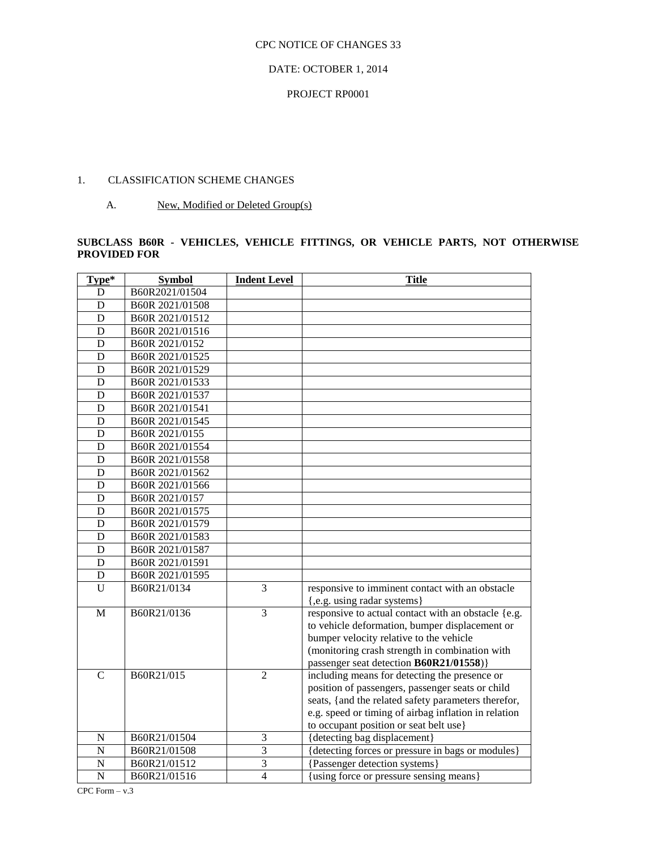#### DATE: OCTOBER 1, 2014

#### PROJECT RP0001

## 1. CLASSIFICATION SCHEME CHANGES

A. New, Modified or Deleted Group(s)

#### **SUBCLASS B60R - VEHICLES, VEHICLE FITTINGS, OR VEHICLE PARTS, NOT OTHERWISE PROVIDED FOR**

| Type*          | <b>Symbol</b>   | <b>Indent Level</b> | <b>Title</b>                                         |
|----------------|-----------------|---------------------|------------------------------------------------------|
| D              | B60R2021/01504  |                     |                                                      |
| D              | B60R 2021/01508 |                     |                                                      |
| D              | B60R 2021/01512 |                     |                                                      |
| D              | B60R 2021/01516 |                     |                                                      |
| D              | B60R 2021/0152  |                     |                                                      |
| D              | B60R 2021/01525 |                     |                                                      |
| D              | B60R 2021/01529 |                     |                                                      |
| D              | B60R 2021/01533 |                     |                                                      |
| D              | B60R 2021/01537 |                     |                                                      |
| D              | B60R 2021/01541 |                     |                                                      |
| D              | B60R 2021/01545 |                     |                                                      |
| D              | B60R 2021/0155  |                     |                                                      |
| D              | B60R 2021/01554 |                     |                                                      |
| $\mathbf D$    | B60R 2021/01558 |                     |                                                      |
| D              | B60R 2021/01562 |                     |                                                      |
| D              | B60R 2021/01566 |                     |                                                      |
| D              | B60R 2021/0157  |                     |                                                      |
| D              | B60R 2021/01575 |                     |                                                      |
| D              | B60R 2021/01579 |                     |                                                      |
| D              | B60R 2021/01583 |                     |                                                      |
| D              | B60R 2021/01587 |                     |                                                      |
| D              | B60R 2021/01591 |                     |                                                      |
| $\mathbf D$    | B60R 2021/01595 |                     |                                                      |
| U              | B60R21/0134     | 3                   | responsive to imminent contact with an obstacle      |
|                |                 |                     | {,e.g. using radar systems}                          |
| $\mathbf{M}$   | B60R21/0136     | 3                   | responsive to actual contact with an obstacle {e.g.  |
|                |                 |                     | to vehicle deformation, bumper displacement or       |
|                |                 |                     | bumper velocity relative to the vehicle              |
|                |                 |                     | (monitoring crash strength in combination with       |
|                |                 |                     | passenger seat detection B60R21/01558)}              |
| $\mathbf C$    | B60R21/015      | $\overline{2}$      | including means for detecting the presence or        |
|                |                 |                     | position of passengers, passenger seats or child     |
|                |                 |                     | seats, {and the related safety parameters therefor,  |
|                |                 |                     | e.g. speed or timing of airbag inflation in relation |
|                |                 |                     | to occupant position or seat belt use}               |
| $\mathbf N$    | B60R21/01504    | 3                   | {detecting bag displacement}                         |
| $\overline{N}$ | B60R21/01508    | $\overline{3}$      | {detecting forces or pressure in bags or modules}    |
| $\overline{N}$ | B60R21/01512    | 3                   | {Passenger detection systems}                        |
| $\overline{N}$ | B60R21/01516    | $\overline{4}$      | using force or pressure sensing means}               |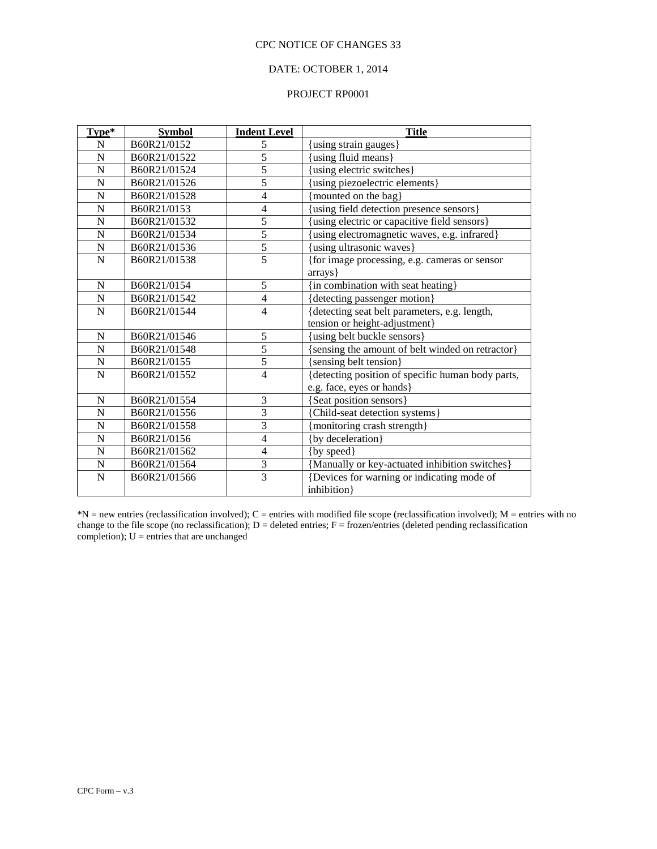## DATE: OCTOBER 1, 2014

#### PROJECT RP0001

| Type*          | <b>Symbol</b> | <b>Indent Level</b>      | <b>Title</b>                                      |
|----------------|---------------|--------------------------|---------------------------------------------------|
| N              | B60R21/0152   | 5                        | using strain gauges}                              |
| $\overline{N}$ | B60R21/01522  | 5                        | using fluid means}                                |
| N              | B60R21/01524  | 5                        | using electric switches}                          |
| $\mathbf N$    | B60R21/01526  | 5                        | using piezoelectric elements}                     |
| N              | B60R21/01528  | $\overline{4}$           | mounted on the bag}                               |
| $\mathbf N$    | B60R21/0153   | $\overline{4}$           | using field detection presence sensors}           |
| $\mathbf N$    | B60R21/01532  | 5                        | using electric or capacitive field sensors}       |
| $\overline{N}$ | B60R21/01534  | $\overline{5}$           | using electromagnetic waves, e.g. infrared}       |
| $\overline{N}$ | B60R21/01536  | $\overline{5}$           | using ultrasonic waves}                           |
| N              | B60R21/01538  | $\overline{5}$           | {for image processing, e.g. cameras or sensor     |
|                |               |                          | arrays }                                          |
| ${\bf N}$      | B60R21/0154   | 5                        | $\overline{\{in$ combination with seat heating}   |
| ${\bf N}$      | B60R21/01542  | $\overline{4}$           | {detecting passenger motion}                      |
| $\mathbf N$    | B60R21/01544  | $\overline{4}$           | {detecting seat belt parameters, e.g. length,     |
|                |               |                          | tension or height-adjustment}                     |
| N              | B60R21/01546  | 5                        | using belt buckle sensors}                        |
| $\mathbf N$    | B60R21/01548  | $\overline{5}$           | sensing the amount of belt winded on retractor}   |
| $\overline{N}$ | B60R21/0155   | 5                        | [sensing belt tension]                            |
| $\overline{N}$ | B60R21/01552  | $\overline{4}$           | {detecting position of specific human body parts, |
|                |               |                          | e.g. face, eyes or hands}                         |
| $\mathbf N$    | B60R21/01554  | 3                        | [Seat position sensors]                           |
| $\overline{N}$ | B60R21/01556  | 3                        | Child-seat detection systems }                    |
| $\mathbf N$    | B60R21/01558  | 3                        | monitoring crash strength}                        |
| $\mathbf N$    | B60R21/0156   | $\overline{\mathcal{L}}$ | {by deceleration}                                 |
| $\mathbf N$    | B60R21/01562  | 4                        | {by speed}                                        |
| N              | B60R21/01564  | $\mathfrak{Z}$           | {Manually or key-actuated inhibition switches}    |
| $\overline{N}$ | B60R21/01566  | $\overline{3}$           | {Devices for warning or indicating mode of        |
|                |               |                          | inhibition}                                       |

 $N =$  new entries (reclassification involved); C = entries with modified file scope (reclassification involved); M = entries with no change to the file scope (no reclassification);  $D =$  deleted entries;  $F =$  frozen/entries (deleted pending reclassification completion);  $U =$  entries that are unchanged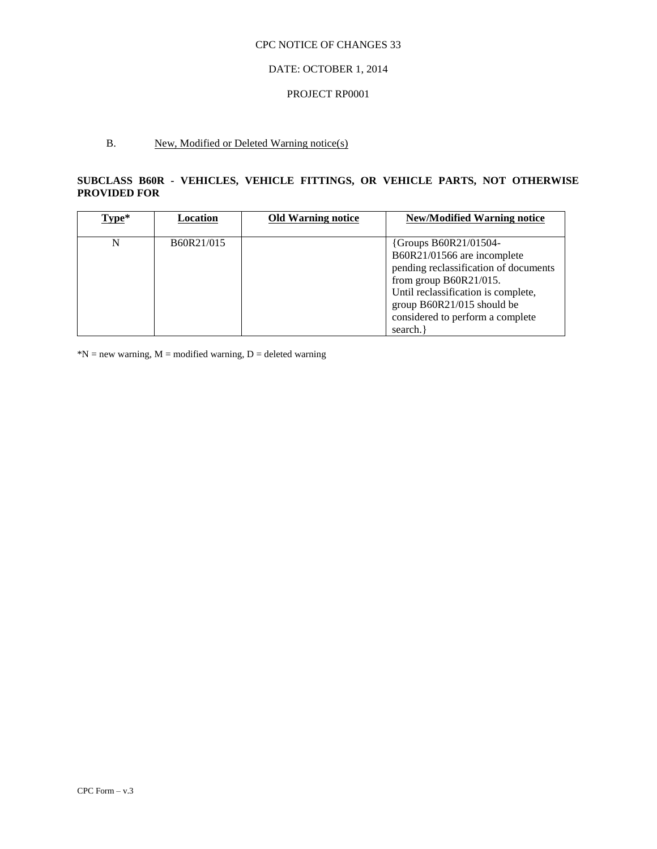#### DATE: OCTOBER 1, 2014

#### PROJECT RP0001

## B. New, Modified or Deleted Warning notice(s)

## **SUBCLASS B60R - VEHICLES, VEHICLE FITTINGS, OR VEHICLE PARTS, NOT OTHERWISE PROVIDED FOR**

| $Type*$ | Location   | <b>Old Warning notice</b> | <b>New/Modified Warning notice</b>                                                                                                                                                                                                             |
|---------|------------|---------------------------|------------------------------------------------------------------------------------------------------------------------------------------------------------------------------------------------------------------------------------------------|
| N       | B60R21/015 |                           | {Groups B60R21/01504-<br>B60R21/01566 are incomplete<br>pending reclassification of documents<br>from group $B60R21/015$ .<br>Until reclassification is complete,<br>group B60R21/015 should be<br>considered to perform a complete<br>search. |

 $N = new warning, M = modified warning, D = deleted warning$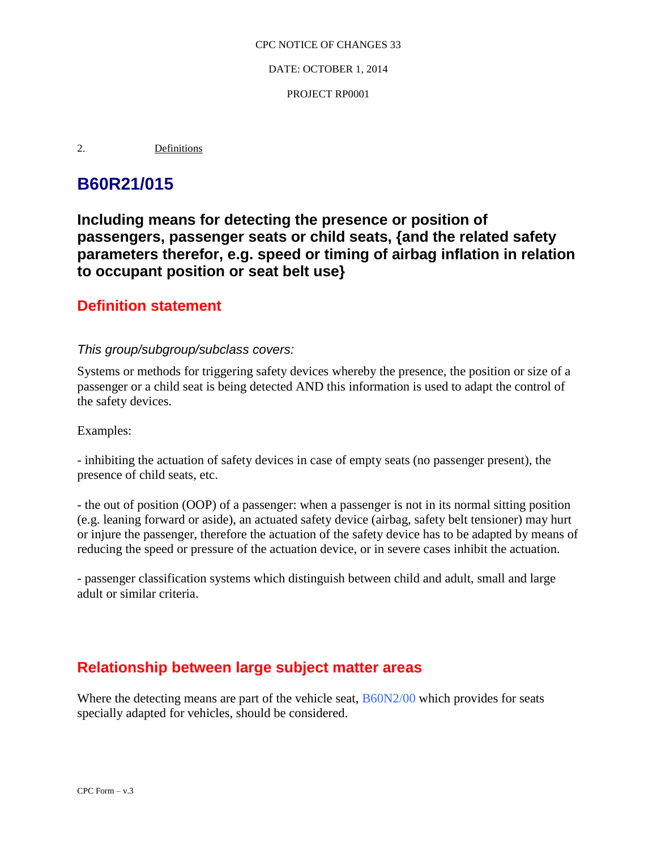DATE: OCTOBER 1, 2014

PROJECT RP0001

2. Definitions

# **B60R21/015**

**Including means for detecting the presence or position of passengers, passenger seats or child seats, {and the related safety parameters therefor, e.g. speed or timing of airbag inflation in relation to occupant position or seat belt use}** 

## **Definition statement**

## *This group/subgroup/subclass covers:*

Systems or methods for triggering safety devices whereby the presence, the position or size of a passenger or a child seat is being detected AND this information is used to adapt the control of the safety devices.

Examples:

- inhibiting the actuation of safety devices in case of empty seats (no passenger present), the presence of child seats, etc.

- the out of position (OOP) of a passenger: when a passenger is not in its normal sitting position (e.g. leaning forward or aside), an actuated safety device (airbag, safety belt tensioner) may hurt or injure the passenger, therefore the actuation of the safety device has to be adapted by means of reducing the speed or pressure of the actuation device, or in severe cases inhibit the actuation.

- passenger classification systems which distinguish between child and adult, small and large adult or similar criteria.

# **Relationship between large subject matter areas**

Where the detecting means are part of the vehicle seat,  $\frac{B60N2}{00}$  which provides for seats specially adapted for vehicles, should be considered.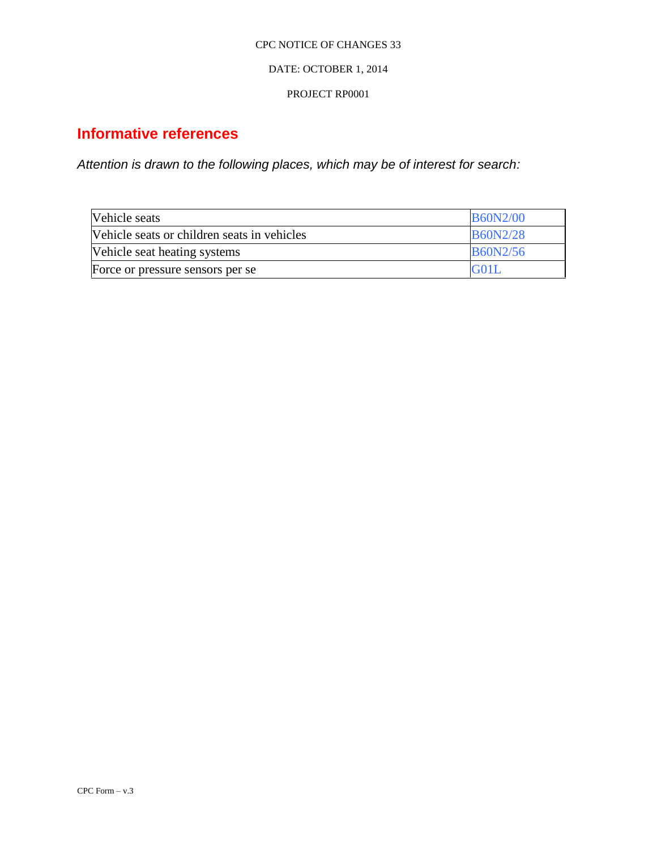#### DATE: OCTOBER 1, 2014

#### PROJECT RP0001

# **Informative references**

*Attention is drawn to the following places, which may be of interest for search:*

| Vehicle seats                               | <b>B60N2/00</b> |
|---------------------------------------------|-----------------|
| Vehicle seats or children seats in vehicles | <b>B60N2/28</b> |
| Vehicle seat heating systems                | B60N2/56        |
| Force or pressure sensors per se            | G01L            |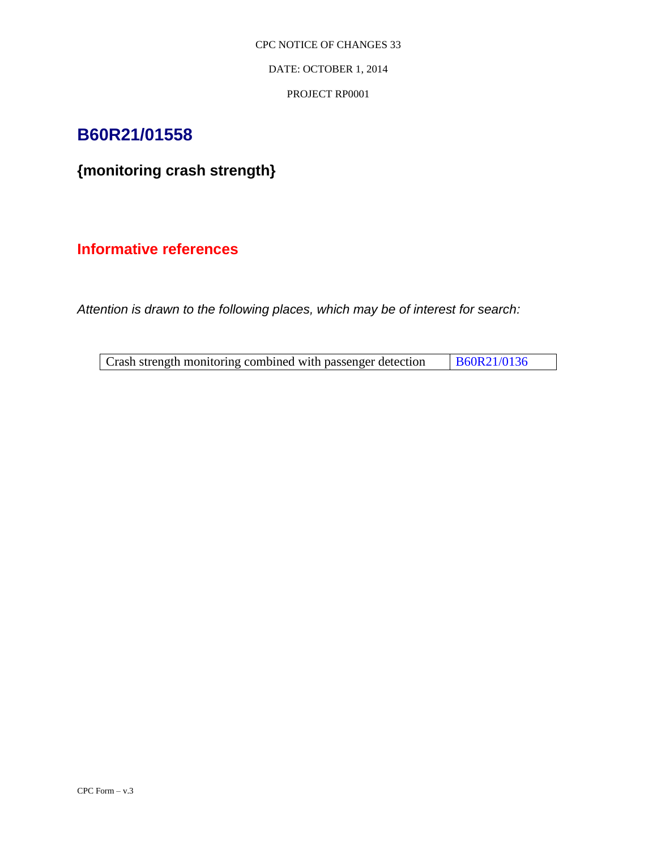DATE: OCTOBER 1, 2014

PROJECT RP0001

# **B60R21/01558**

# **{monitoring crash strength}**

## **Informative references**

*Attention is drawn to the following places, which may be of interest for search:*

| Crash strength monitoring combined with passenger detection |  | B60R21/0136 |
|-------------------------------------------------------------|--|-------------|
|                                                             |  |             |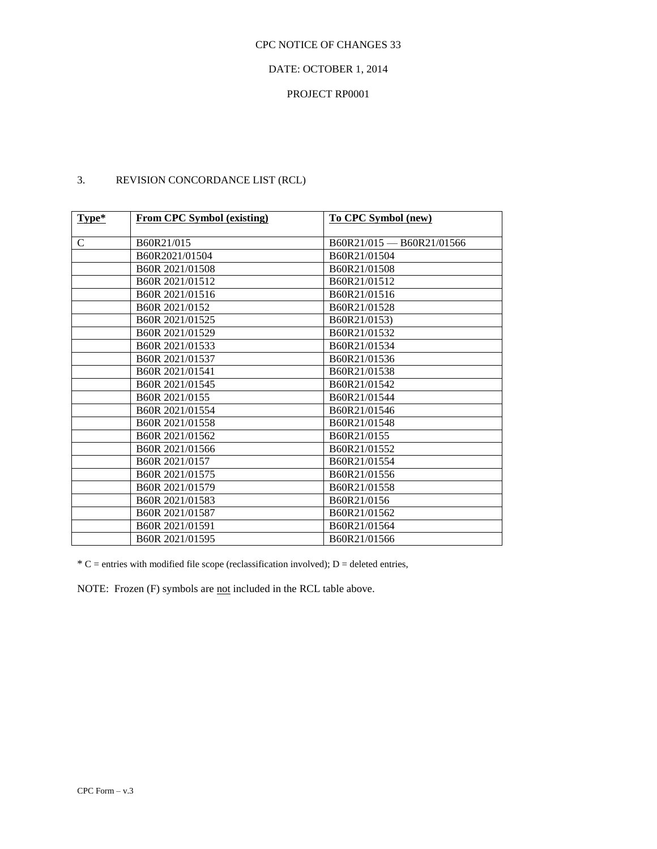#### DATE: OCTOBER 1, 2014

## PROJECT RP0001

| $Type*$     | <b>From CPC Symbol (existing)</b> | To CPC Symbol (new)       |
|-------------|-----------------------------------|---------------------------|
|             |                                   |                           |
| $\mathbf C$ | B60R21/015                        | B60R21/015 - B60R21/01566 |
|             | B60R2021/01504                    | B60R21/01504              |
|             | B60R 2021/01508                   | B60R21/01508              |
|             | B60R 2021/01512                   | B60R21/01512              |
|             | B60R 2021/01516                   | B60R21/01516              |
|             | B <sub>60</sub> R 2021/0152       | B60R21/01528              |
|             | B60R 2021/01525                   | B60R21/0153)              |
|             | B60R 2021/01529                   | B60R21/01532              |
|             | B60R 2021/01533                   | B60R21/01534              |
|             | B60R 2021/01537                   | B60R21/01536              |
|             | B60R 2021/01541                   | B60R21/01538              |
|             | B60R 2021/01545                   | B60R21/01542              |
|             | B60R 2021/0155                    | B60R21/01544              |
|             | B60R 2021/01554                   | B60R21/01546              |
|             | B60R 2021/01558                   | B60R21/01548              |
|             | B60R 2021/01562                   | B60R21/0155               |
|             | B60R 2021/01566                   | B60R21/01552              |
|             | B60R 2021/0157                    | B60R21/01554              |
|             | B60R 2021/01575                   | B60R21/01556              |
|             | B60R 2021/01579                   | B60R21/01558              |
|             | B60R 2021/01583                   | B60R21/0156               |
|             | B60R 2021/01587                   | B60R21/01562              |
|             | B60R 2021/01591                   | B60R21/01564              |
|             | B60R 2021/01595                   | B60R21/01566              |

## 3. REVISION CONCORDANCE LIST (RCL)

 $*C$  = entries with modified file scope (reclassification involved); D = deleted entries,

NOTE: Frozen (F) symbols are not included in the RCL table above.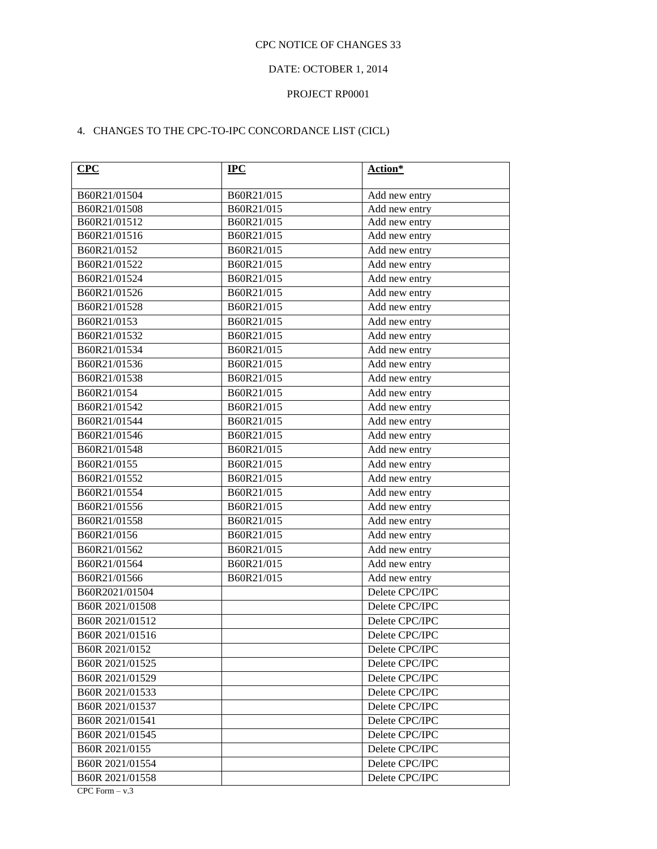## DATE: OCTOBER 1, 2014

#### PROJECT RP0001

## 4. CHANGES TO THE CPC-TO-IPC CONCORDANCE LIST (CICL)

| B60R21/01504<br>B60R21/015<br>Add new entry<br>B60R21/01508<br>B60R21/015<br>Add new entry<br>B60R21/01512<br>B60R21/015<br>Add new entry<br>B60R21/01516<br>B60R21/015<br>Add new entry<br>B60R21/0152<br>B60R21/015<br>Add new entry<br>B60R21/015<br>B60R21/01522<br>Add new entry<br>Add new entry<br>B60R21/01524<br>B60R21/015<br>B60R21/01526<br>B60R21/015<br>Add new entry<br>B60R21/01528<br>B60R21/015<br>Add new entry<br>B60R21/0153<br>B60R21/015<br>Add new entry<br>B60R21/01532<br>B60R21/015<br>Add new entry<br>Add new entry<br>B60R21/01534<br>B60R21/015<br>B60R21/01536<br>B60R21/015<br>Add new entry<br>Add new entry<br>B60R21/01538<br>B60R21/015<br>B60R21/0154<br>B60R21/015<br>Add new entry<br>B60R21/01542<br>B60R21/015<br>Add new entry<br>B60R21/01544<br>B60R21/015<br>Add new entry<br>B60R21/01546<br>B60R21/015<br>Add new entry<br>Add new entry<br>B60R21/01548<br>B60R21/015<br>B60R21/0155<br>B60R21/015<br>Add new entry<br>Add new entry<br>B60R21/01552<br>B60R21/015<br>B60R21/01554<br>B60R21/015<br>Add new entry<br>B60R21/01556<br>B60R21/015<br>Add new entry<br>B60R21/01558<br>B60R21/015<br>Add new entry<br>B60R21/0156<br>B60R21/015<br>Add new entry<br>B60R21/01562<br>B60R21/015<br>Add new entry<br>B60R21/01564<br>B60R21/015<br>Add new entry<br>Add new entry<br>B60R21/01566<br>B60R21/015<br>Delete CPC/IPC<br>B60R2021/01504<br>Delete CPC/IPC<br>B60R 2021/01508<br>B60R 2021/01512<br>Delete CPC/IPC<br>B60R 2021/01516<br>Delete CPC/IPC<br>B60R 2021/0152<br>Delete CPC/IPC<br>B60R 2021/01525<br>Delete CPC/IPC<br>B60R 2021/01529<br>Delete CPC/IPC<br>B60R 2021/01533<br>Delete CPC/IPC<br>B60R 2021/01537<br>Delete CPC/IPC<br>B60R 2021/01541<br>Delete CPC/IPC<br>B60R 2021/01545<br>Delete CPC/IPC<br>B60R 2021/0155<br>Delete CPC/IPC<br>B60R 2021/01554<br>Delete CPC/IPC<br>B60R 2021/01558<br>Delete CPC/IPC | CPC              | $IPC$ | Action* |
|------------------------------------------------------------------------------------------------------------------------------------------------------------------------------------------------------------------------------------------------------------------------------------------------------------------------------------------------------------------------------------------------------------------------------------------------------------------------------------------------------------------------------------------------------------------------------------------------------------------------------------------------------------------------------------------------------------------------------------------------------------------------------------------------------------------------------------------------------------------------------------------------------------------------------------------------------------------------------------------------------------------------------------------------------------------------------------------------------------------------------------------------------------------------------------------------------------------------------------------------------------------------------------------------------------------------------------------------------------------------------------------------------------------------------------------------------------------------------------------------------------------------------------------------------------------------------------------------------------------------------------------------------------------------------------------------------------------------------------------------------------------------------------------------------------------------------------------------------------------------------------------------|------------------|-------|---------|
|                                                                                                                                                                                                                                                                                                                                                                                                                                                                                                                                                                                                                                                                                                                                                                                                                                                                                                                                                                                                                                                                                                                                                                                                                                                                                                                                                                                                                                                                                                                                                                                                                                                                                                                                                                                                                                                                                                |                  |       |         |
|                                                                                                                                                                                                                                                                                                                                                                                                                                                                                                                                                                                                                                                                                                                                                                                                                                                                                                                                                                                                                                                                                                                                                                                                                                                                                                                                                                                                                                                                                                                                                                                                                                                                                                                                                                                                                                                                                                |                  |       |         |
|                                                                                                                                                                                                                                                                                                                                                                                                                                                                                                                                                                                                                                                                                                                                                                                                                                                                                                                                                                                                                                                                                                                                                                                                                                                                                                                                                                                                                                                                                                                                                                                                                                                                                                                                                                                                                                                                                                |                  |       |         |
|                                                                                                                                                                                                                                                                                                                                                                                                                                                                                                                                                                                                                                                                                                                                                                                                                                                                                                                                                                                                                                                                                                                                                                                                                                                                                                                                                                                                                                                                                                                                                                                                                                                                                                                                                                                                                                                                                                |                  |       |         |
|                                                                                                                                                                                                                                                                                                                                                                                                                                                                                                                                                                                                                                                                                                                                                                                                                                                                                                                                                                                                                                                                                                                                                                                                                                                                                                                                                                                                                                                                                                                                                                                                                                                                                                                                                                                                                                                                                                |                  |       |         |
|                                                                                                                                                                                                                                                                                                                                                                                                                                                                                                                                                                                                                                                                                                                                                                                                                                                                                                                                                                                                                                                                                                                                                                                                                                                                                                                                                                                                                                                                                                                                                                                                                                                                                                                                                                                                                                                                                                |                  |       |         |
|                                                                                                                                                                                                                                                                                                                                                                                                                                                                                                                                                                                                                                                                                                                                                                                                                                                                                                                                                                                                                                                                                                                                                                                                                                                                                                                                                                                                                                                                                                                                                                                                                                                                                                                                                                                                                                                                                                |                  |       |         |
|                                                                                                                                                                                                                                                                                                                                                                                                                                                                                                                                                                                                                                                                                                                                                                                                                                                                                                                                                                                                                                                                                                                                                                                                                                                                                                                                                                                                                                                                                                                                                                                                                                                                                                                                                                                                                                                                                                |                  |       |         |
|                                                                                                                                                                                                                                                                                                                                                                                                                                                                                                                                                                                                                                                                                                                                                                                                                                                                                                                                                                                                                                                                                                                                                                                                                                                                                                                                                                                                                                                                                                                                                                                                                                                                                                                                                                                                                                                                                                |                  |       |         |
|                                                                                                                                                                                                                                                                                                                                                                                                                                                                                                                                                                                                                                                                                                                                                                                                                                                                                                                                                                                                                                                                                                                                                                                                                                                                                                                                                                                                                                                                                                                                                                                                                                                                                                                                                                                                                                                                                                |                  |       |         |
|                                                                                                                                                                                                                                                                                                                                                                                                                                                                                                                                                                                                                                                                                                                                                                                                                                                                                                                                                                                                                                                                                                                                                                                                                                                                                                                                                                                                                                                                                                                                                                                                                                                                                                                                                                                                                                                                                                |                  |       |         |
|                                                                                                                                                                                                                                                                                                                                                                                                                                                                                                                                                                                                                                                                                                                                                                                                                                                                                                                                                                                                                                                                                                                                                                                                                                                                                                                                                                                                                                                                                                                                                                                                                                                                                                                                                                                                                                                                                                |                  |       |         |
|                                                                                                                                                                                                                                                                                                                                                                                                                                                                                                                                                                                                                                                                                                                                                                                                                                                                                                                                                                                                                                                                                                                                                                                                                                                                                                                                                                                                                                                                                                                                                                                                                                                                                                                                                                                                                                                                                                |                  |       |         |
|                                                                                                                                                                                                                                                                                                                                                                                                                                                                                                                                                                                                                                                                                                                                                                                                                                                                                                                                                                                                                                                                                                                                                                                                                                                                                                                                                                                                                                                                                                                                                                                                                                                                                                                                                                                                                                                                                                |                  |       |         |
|                                                                                                                                                                                                                                                                                                                                                                                                                                                                                                                                                                                                                                                                                                                                                                                                                                                                                                                                                                                                                                                                                                                                                                                                                                                                                                                                                                                                                                                                                                                                                                                                                                                                                                                                                                                                                                                                                                |                  |       |         |
|                                                                                                                                                                                                                                                                                                                                                                                                                                                                                                                                                                                                                                                                                                                                                                                                                                                                                                                                                                                                                                                                                                                                                                                                                                                                                                                                                                                                                                                                                                                                                                                                                                                                                                                                                                                                                                                                                                |                  |       |         |
|                                                                                                                                                                                                                                                                                                                                                                                                                                                                                                                                                                                                                                                                                                                                                                                                                                                                                                                                                                                                                                                                                                                                                                                                                                                                                                                                                                                                                                                                                                                                                                                                                                                                                                                                                                                                                                                                                                |                  |       |         |
|                                                                                                                                                                                                                                                                                                                                                                                                                                                                                                                                                                                                                                                                                                                                                                                                                                                                                                                                                                                                                                                                                                                                                                                                                                                                                                                                                                                                                                                                                                                                                                                                                                                                                                                                                                                                                                                                                                |                  |       |         |
|                                                                                                                                                                                                                                                                                                                                                                                                                                                                                                                                                                                                                                                                                                                                                                                                                                                                                                                                                                                                                                                                                                                                                                                                                                                                                                                                                                                                                                                                                                                                                                                                                                                                                                                                                                                                                                                                                                |                  |       |         |
|                                                                                                                                                                                                                                                                                                                                                                                                                                                                                                                                                                                                                                                                                                                                                                                                                                                                                                                                                                                                                                                                                                                                                                                                                                                                                                                                                                                                                                                                                                                                                                                                                                                                                                                                                                                                                                                                                                |                  |       |         |
|                                                                                                                                                                                                                                                                                                                                                                                                                                                                                                                                                                                                                                                                                                                                                                                                                                                                                                                                                                                                                                                                                                                                                                                                                                                                                                                                                                                                                                                                                                                                                                                                                                                                                                                                                                                                                                                                                                |                  |       |         |
|                                                                                                                                                                                                                                                                                                                                                                                                                                                                                                                                                                                                                                                                                                                                                                                                                                                                                                                                                                                                                                                                                                                                                                                                                                                                                                                                                                                                                                                                                                                                                                                                                                                                                                                                                                                                                                                                                                |                  |       |         |
|                                                                                                                                                                                                                                                                                                                                                                                                                                                                                                                                                                                                                                                                                                                                                                                                                                                                                                                                                                                                                                                                                                                                                                                                                                                                                                                                                                                                                                                                                                                                                                                                                                                                                                                                                                                                                                                                                                |                  |       |         |
|                                                                                                                                                                                                                                                                                                                                                                                                                                                                                                                                                                                                                                                                                                                                                                                                                                                                                                                                                                                                                                                                                                                                                                                                                                                                                                                                                                                                                                                                                                                                                                                                                                                                                                                                                                                                                                                                                                |                  |       |         |
|                                                                                                                                                                                                                                                                                                                                                                                                                                                                                                                                                                                                                                                                                                                                                                                                                                                                                                                                                                                                                                                                                                                                                                                                                                                                                                                                                                                                                                                                                                                                                                                                                                                                                                                                                                                                                                                                                                |                  |       |         |
|                                                                                                                                                                                                                                                                                                                                                                                                                                                                                                                                                                                                                                                                                                                                                                                                                                                                                                                                                                                                                                                                                                                                                                                                                                                                                                                                                                                                                                                                                                                                                                                                                                                                                                                                                                                                                                                                                                |                  |       |         |
|                                                                                                                                                                                                                                                                                                                                                                                                                                                                                                                                                                                                                                                                                                                                                                                                                                                                                                                                                                                                                                                                                                                                                                                                                                                                                                                                                                                                                                                                                                                                                                                                                                                                                                                                                                                                                                                                                                |                  |       |         |
|                                                                                                                                                                                                                                                                                                                                                                                                                                                                                                                                                                                                                                                                                                                                                                                                                                                                                                                                                                                                                                                                                                                                                                                                                                                                                                                                                                                                                                                                                                                                                                                                                                                                                                                                                                                                                                                                                                |                  |       |         |
|                                                                                                                                                                                                                                                                                                                                                                                                                                                                                                                                                                                                                                                                                                                                                                                                                                                                                                                                                                                                                                                                                                                                                                                                                                                                                                                                                                                                                                                                                                                                                                                                                                                                                                                                                                                                                                                                                                |                  |       |         |
|                                                                                                                                                                                                                                                                                                                                                                                                                                                                                                                                                                                                                                                                                                                                                                                                                                                                                                                                                                                                                                                                                                                                                                                                                                                                                                                                                                                                                                                                                                                                                                                                                                                                                                                                                                                                                                                                                                |                  |       |         |
|                                                                                                                                                                                                                                                                                                                                                                                                                                                                                                                                                                                                                                                                                                                                                                                                                                                                                                                                                                                                                                                                                                                                                                                                                                                                                                                                                                                                                                                                                                                                                                                                                                                                                                                                                                                                                                                                                                |                  |       |         |
|                                                                                                                                                                                                                                                                                                                                                                                                                                                                                                                                                                                                                                                                                                                                                                                                                                                                                                                                                                                                                                                                                                                                                                                                                                                                                                                                                                                                                                                                                                                                                                                                                                                                                                                                                                                                                                                                                                |                  |       |         |
|                                                                                                                                                                                                                                                                                                                                                                                                                                                                                                                                                                                                                                                                                                                                                                                                                                                                                                                                                                                                                                                                                                                                                                                                                                                                                                                                                                                                                                                                                                                                                                                                                                                                                                                                                                                                                                                                                                |                  |       |         |
|                                                                                                                                                                                                                                                                                                                                                                                                                                                                                                                                                                                                                                                                                                                                                                                                                                                                                                                                                                                                                                                                                                                                                                                                                                                                                                                                                                                                                                                                                                                                                                                                                                                                                                                                                                                                                                                                                                |                  |       |         |
|                                                                                                                                                                                                                                                                                                                                                                                                                                                                                                                                                                                                                                                                                                                                                                                                                                                                                                                                                                                                                                                                                                                                                                                                                                                                                                                                                                                                                                                                                                                                                                                                                                                                                                                                                                                                                                                                                                |                  |       |         |
|                                                                                                                                                                                                                                                                                                                                                                                                                                                                                                                                                                                                                                                                                                                                                                                                                                                                                                                                                                                                                                                                                                                                                                                                                                                                                                                                                                                                                                                                                                                                                                                                                                                                                                                                                                                                                                                                                                |                  |       |         |
|                                                                                                                                                                                                                                                                                                                                                                                                                                                                                                                                                                                                                                                                                                                                                                                                                                                                                                                                                                                                                                                                                                                                                                                                                                                                                                                                                                                                                                                                                                                                                                                                                                                                                                                                                                                                                                                                                                |                  |       |         |
|                                                                                                                                                                                                                                                                                                                                                                                                                                                                                                                                                                                                                                                                                                                                                                                                                                                                                                                                                                                                                                                                                                                                                                                                                                                                                                                                                                                                                                                                                                                                                                                                                                                                                                                                                                                                                                                                                                |                  |       |         |
|                                                                                                                                                                                                                                                                                                                                                                                                                                                                                                                                                                                                                                                                                                                                                                                                                                                                                                                                                                                                                                                                                                                                                                                                                                                                                                                                                                                                                                                                                                                                                                                                                                                                                                                                                                                                                                                                                                |                  |       |         |
|                                                                                                                                                                                                                                                                                                                                                                                                                                                                                                                                                                                                                                                                                                                                                                                                                                                                                                                                                                                                                                                                                                                                                                                                                                                                                                                                                                                                                                                                                                                                                                                                                                                                                                                                                                                                                                                                                                |                  |       |         |
|                                                                                                                                                                                                                                                                                                                                                                                                                                                                                                                                                                                                                                                                                                                                                                                                                                                                                                                                                                                                                                                                                                                                                                                                                                                                                                                                                                                                                                                                                                                                                                                                                                                                                                                                                                                                                                                                                                |                  |       |         |
|                                                                                                                                                                                                                                                                                                                                                                                                                                                                                                                                                                                                                                                                                                                                                                                                                                                                                                                                                                                                                                                                                                                                                                                                                                                                                                                                                                                                                                                                                                                                                                                                                                                                                                                                                                                                                                                                                                | $CPC Form - v.3$ |       |         |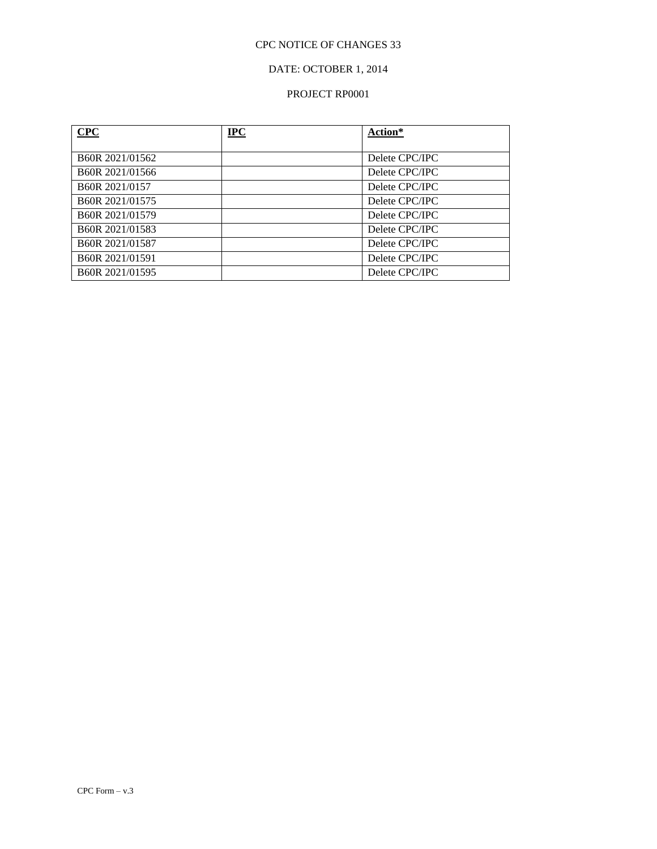## DATE: OCTOBER 1, 2014

### PROJECT RP0001

| CPC                          | $IPC$ | Action*        |
|------------------------------|-------|----------------|
|                              |       |                |
| B <sub>60</sub> R 2021/01562 |       | Delete CPC/IPC |
| B60R 2021/01566              |       | Delete CPC/IPC |
| B60R 2021/0157               |       | Delete CPC/IPC |
| B60R 2021/01575              |       | Delete CPC/IPC |
| B60R 2021/01579              |       | Delete CPC/IPC |
| B60R 2021/01583              |       | Delete CPC/IPC |
| B60R 2021/01587              |       | Delete CPC/IPC |
| B60R 2021/01591              |       | Delete CPC/IPC |
| B60R 2021/01595              |       | Delete CPC/IPC |